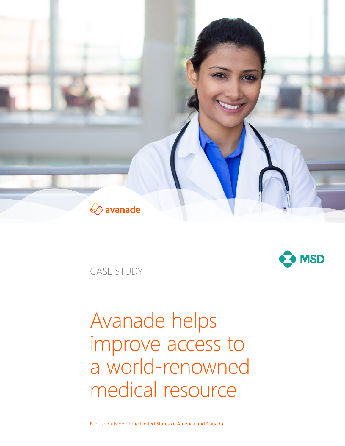

CASE STUDY



# Avanade helps improve access to a world-renowned medical resource

For use outside of the United States of America and Canada.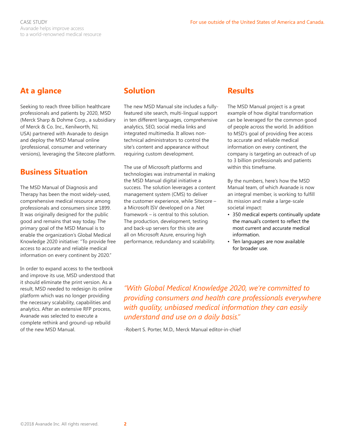# **At a glance**

Seeking to reach three billion healthcare professionals and patients by 2020, MSD (Merck Sharp & Dohme Corp., a subsidiary of Merck & Co. Inc., Kenilworth, NJ, USA) partnered with Avanade to design and deploy the MSD Manual online (professional, consumer and veterinary versions), leveraging the Sitecore platform.

## **Business Situation**

The MSD Manual of Diagnosis and Therapy has been the most widely-used, comprehensive medical resource among professionals and consumers since 1899. It was originally designed for the public good and remains that way today. The primary goal of the MSD Manual is to enable the organization's Global Medical Knowledge 2020 initiative: "To provide free access to accurate and reliable medical information on every continent by 2020."

In order to expand access to the textbook and improve its use, MSD understood that it should eliminate the print version. As a result, MSD needed to redesign its online platform which was no longer providing the necessary scalability, capabilities and analytics. After an extensive RFP process, Avanade was selected to execute a complete rethink and ground-up rebuild of the new MSD Manual.

# **Solution**

The new MSD Manual site includes a fullyfeatured site search, multi-lingual support in ten different languages, comprehensive analytics, SEO, social media links and integrated multimedia. It allows nontechnical administrators to control the site's content and appearance without requiring custom development.

The use of Microsoft platforms and technologies was instrumental in making the MSD Manual digital initiative a success. The solution leverages a content management system (CMS) to deliver the customer experience, while Sitecore – a Microsoft ISV developed on a .Net framework – is central to this solution. The production, development, testing and back-up servers for this site are all on Microsoft Azure, ensuring high performance, redundancy and scalability.

## **Results**

The MSD Manual project is a great example of how digital transformation can be leveraged for the common good of people across the world. In addition to MSD's goal of providing free access to accurate and reliable medical information on every continent, the company is targeting an outreach of up to 3 billion professionals and patients within this timeframe.

By the numbers, here's how the MSD Manual team, of which Avanade is now an integral member, is working to fulfill its mission and make a large-scale societal impact:

- 350 medical experts continually update the manual's content to reflect the most current and accurate medical information.
- Ten languages are now available for broader use.

*"With Global Medical Knowledge 2020, we're committed to providing consumers and health care professionals everywhere with quality, unbiased medical information they can easily understand and use on a daily basis."* 

-Robert S. Porter, M.D., Merck Manual editor-in-chief